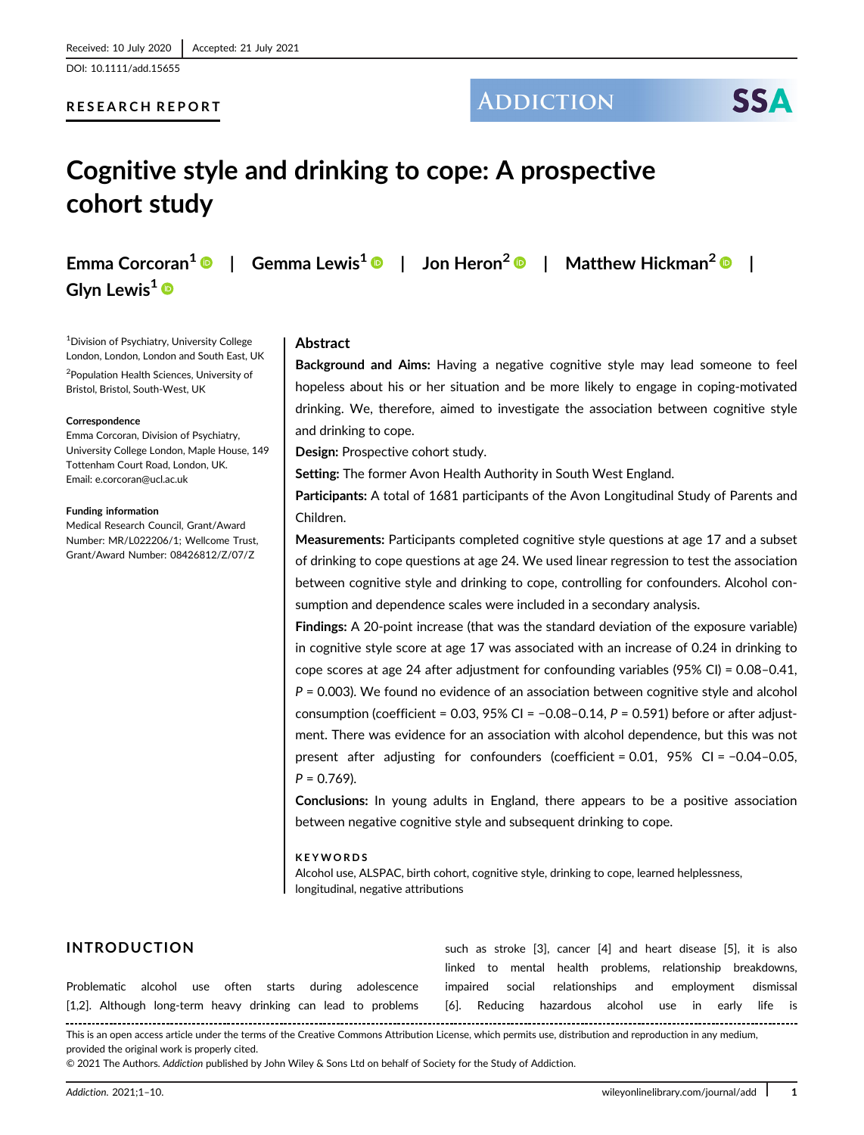DOI: 10.1111/add.15655

#### RESEARCH REPORT

## **ADDICTION**

# **SSA**

# Cognitive style and drinking to cope: A prospective cohort study

Glyn Lewis<sup>1</sup><sup>®</sup>

Emma Corcoran<sup>1</sup>  $\odot$  | Gemma Lewis<sup>1</sup>  $\odot$  | Jon Heron<sup>2</sup>  $\odot$  | Matthew Hickman<sup>2</sup>  $\odot$  |

1 Division of Psychiatry, University College London, London, London and South East, UK <sup>2</sup>Population Health Sciences, University of Bristol, Bristol, South-West, UK

#### **Correspondence**

Emma Corcoran, Division of Psychiatry, University College London, Maple House, 149 Tottenham Court Road, London, UK. Email: [e.corcoran@ucl.ac.uk](mailto:e.corcoran@ucl.ac.uk)

#### Funding information

Medical Research Council, Grant/Award Number: MR/L022206/1; Wellcome Trust, Grant/Award Number: 08426812/Z/07/Z

#### Abstract

Background and Aims: Having a negative cognitive style may lead someone to feel hopeless about his or her situation and be more likely to engage in coping-motivated drinking. We, therefore, aimed to investigate the association between cognitive style and drinking to cope.

Design: Prospective cohort study.

Setting: The former Avon Health Authority in South West England.

Participants: A total of 1681 participants of the Avon Longitudinal Study of Parents and Children.

Measurements: Participants completed cognitive style questions at age 17 and a subset of drinking to cope questions at age 24. We used linear regression to test the association between cognitive style and drinking to cope, controlling for confounders. Alcohol consumption and dependence scales were included in a secondary analysis.

Findings: A 20-point increase (that was the standard deviation of the exposure variable) in cognitive style score at age 17 was associated with an increase of 0.24 in drinking to cope scores at age 24 after adjustment for confounding variables (95% CI) = 0.08–0.41,  $P = 0.003$ ). We found no evidence of an association between cognitive style and alcohol consumption (coefficient = 0.03, 95% CI =  $-0.08-0.14$ , P = 0.591) before or after adjustment. There was evidence for an association with alcohol dependence, but this was not present after adjusting for confounders (coefficient = 0.01, 95% CI = −0.04–0.05,  $P = 0.769$ ).

Conclusions: In young adults in England, there appears to be a positive association between negative cognitive style and subsequent drinking to cope.

#### KEYWORDS

Alcohol use, ALSPAC, birth cohort, cognitive style, drinking to cope, learned helplessness, longitudinal, negative attributions

### INTRODUCTION

| <b>INTRODUCTION</b>                                           | such as stroke [3], cancer [4] and heart disease [5], it is also |
|---------------------------------------------------------------|------------------------------------------------------------------|
|                                                               | linked to mental health problems, relationship breakdowns,       |
| Problematic alcohol use often starts during adolescence       | impaired social relationships and employment dismissal           |
| [1,2]. Although long-term heavy drinking can lead to problems | [6]. Reducing hazardous alcohol use in early life is             |

This is an open access article under the terms of the [Creative Commons Attribution](http://creativecommons.org/licenses/by/4.0/) License, which permits use, distribution and reproduction in any medium, provided the original work is properly cited.

© 2021 The Authors. Addiction published by John Wiley & Sons Ltd on behalf of Society for the Study of Addiction.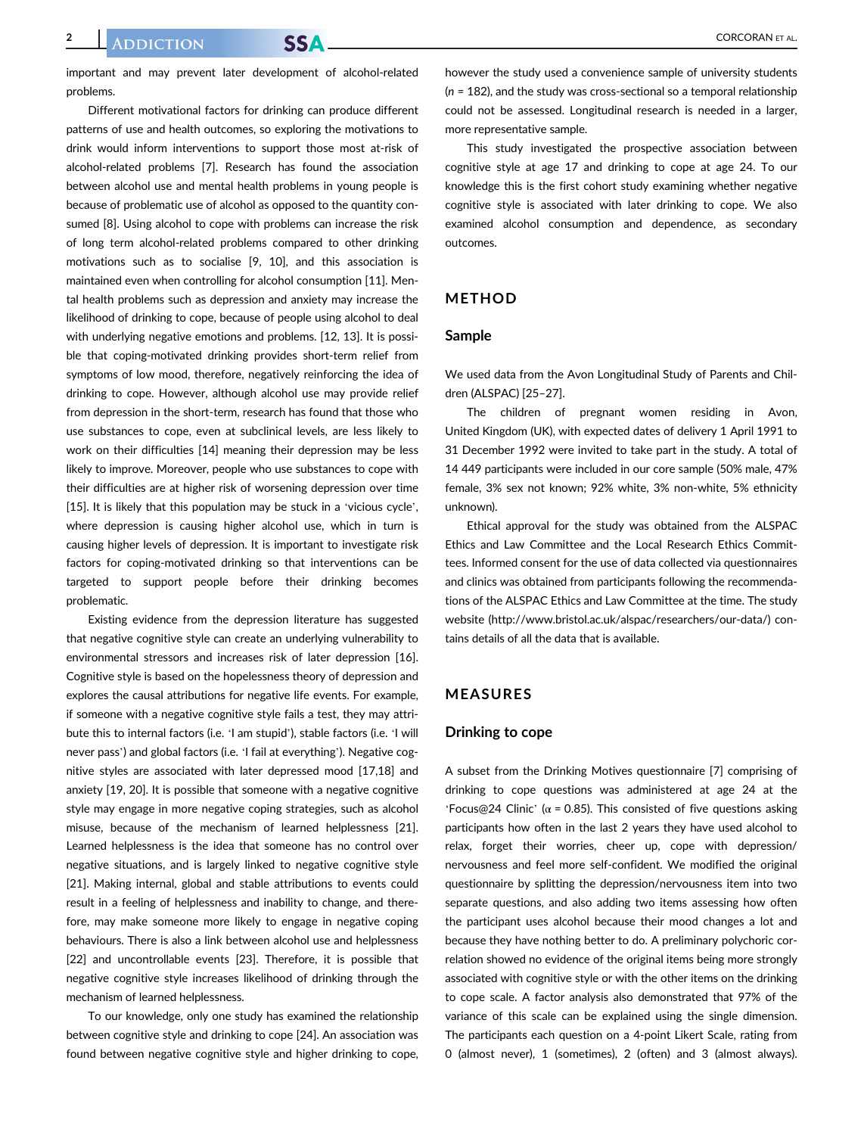important and may prevent later development of alcohol-related problems.

Different motivational factors for drinking can produce different patterns of use and health outcomes, so exploring the motivations to drink would inform interventions to support those most at-risk of alcohol-related problems [7]. Research has found the association between alcohol use and mental health problems in young people is because of problematic use of alcohol as opposed to the quantity consumed [8]. Using alcohol to cope with problems can increase the risk of long term alcohol-related problems compared to other drinking motivations such as to socialise [9, 10], and this association is maintained even when controlling for alcohol consumption [11]. Mental health problems such as depression and anxiety may increase the likelihood of drinking to cope, because of people using alcohol to deal with underlying negative emotions and problems. [12, 13]. It is possible that coping-motivated drinking provides short-term relief from symptoms of low mood, therefore, negatively reinforcing the idea of drinking to cope. However, although alcohol use may provide relief from depression in the short-term, research has found that those who use substances to cope, even at subclinical levels, are less likely to work on their difficulties [14] meaning their depression may be less likely to improve. Moreover, people who use substances to cope with their difficulties are at higher risk of worsening depression over time [15]. It is likely that this population may be stuck in a 'vicious cycle', where depression is causing higher alcohol use, which in turn is causing higher levels of depression. It is important to investigate risk factors for coping-motivated drinking so that interventions can be targeted to support people before their drinking becomes problematic.

Existing evidence from the depression literature has suggested that negative cognitive style can create an underlying vulnerability to environmental stressors and increases risk of later depression [16]. Cognitive style is based on the hopelessness theory of depression and explores the causal attributions for negative life events. For example, if someone with a negative cognitive style fails a test, they may attribute this to internal factors (i.e. 'I am stupid'), stable factors (i.e. 'I will never pass') and global factors (i.e. 'I fail at everything'). Negative cognitive styles are associated with later depressed mood [17,18] and anxiety [19, 20]. It is possible that someone with a negative cognitive style may engage in more negative coping strategies, such as alcohol misuse, because of the mechanism of learned helplessness [21]. Learned helplessness is the idea that someone has no control over negative situations, and is largely linked to negative cognitive style [21]. Making internal, global and stable attributions to events could result in a feeling of helplessness and inability to change, and therefore, may make someone more likely to engage in negative coping behaviours. There is also a link between alcohol use and helplessness [22] and uncontrollable events [23]. Therefore, it is possible that negative cognitive style increases likelihood of drinking through the mechanism of learned helplessness.

To our knowledge, only one study has examined the relationship between cognitive style and drinking to cope [24]. An association was found between negative cognitive style and higher drinking to cope,

however the study used a convenience sample of university students  $(n = 182)$ , and the study was cross-sectional so a temporal relationship could not be assessed. Longitudinal research is needed in a larger, more representative sample.

This study investigated the prospective association between cognitive style at age 17 and drinking to cope at age 24. To our knowledge this is the first cohort study examining whether negative cognitive style is associated with later drinking to cope. We also examined alcohol consumption and dependence, as secondary outcomes.

#### METHOD

#### Sample

We used data from the Avon Longitudinal Study of Parents and Children (ALSPAC) [25–27].

The children of pregnant women residing in Avon, United Kingdom (UK), with expected dates of delivery 1 April 1991 to 31 December 1992 were invited to take part in the study. A total of 14 449 participants were included in our core sample (50% male, 47% female, 3% sex not known; 92% white, 3% non-white, 5% ethnicity unknown).

Ethical approval for the study was obtained from the ALSPAC Ethics and Law Committee and the Local Research Ethics Committees. Informed consent for the use of data collected via questionnaires and clinics was obtained from participants following the recommendations of the ALSPAC Ethics and Law Committee at the time. The study website (<http://www.bristol.ac.uk/alspac/researchers/our-data/>) contains details of all the data that is available.

#### MEASURES

#### Drinking to cope

A subset from the Drinking Motives questionnaire [7] comprising of drinking to cope questions was administered at age 24 at the 'Focus@24 Clinic' ( $\alpha$  = 0.85). This consisted of five questions asking participants how often in the last 2 years they have used alcohol to relax, forget their worries, cheer up, cope with depression/ nervousness and feel more self-confident. We modified the original questionnaire by splitting the depression/nervousness item into two separate questions, and also adding two items assessing how often the participant uses alcohol because their mood changes a lot and because they have nothing better to do. A preliminary polychoric correlation showed no evidence of the original items being more strongly associated with cognitive style or with the other items on the drinking to cope scale. A factor analysis also demonstrated that 97% of the variance of this scale can be explained using the single dimension. The participants each question on a 4-point Likert Scale, rating from 0 (almost never), 1 (sometimes), 2 (often) and 3 (almost always).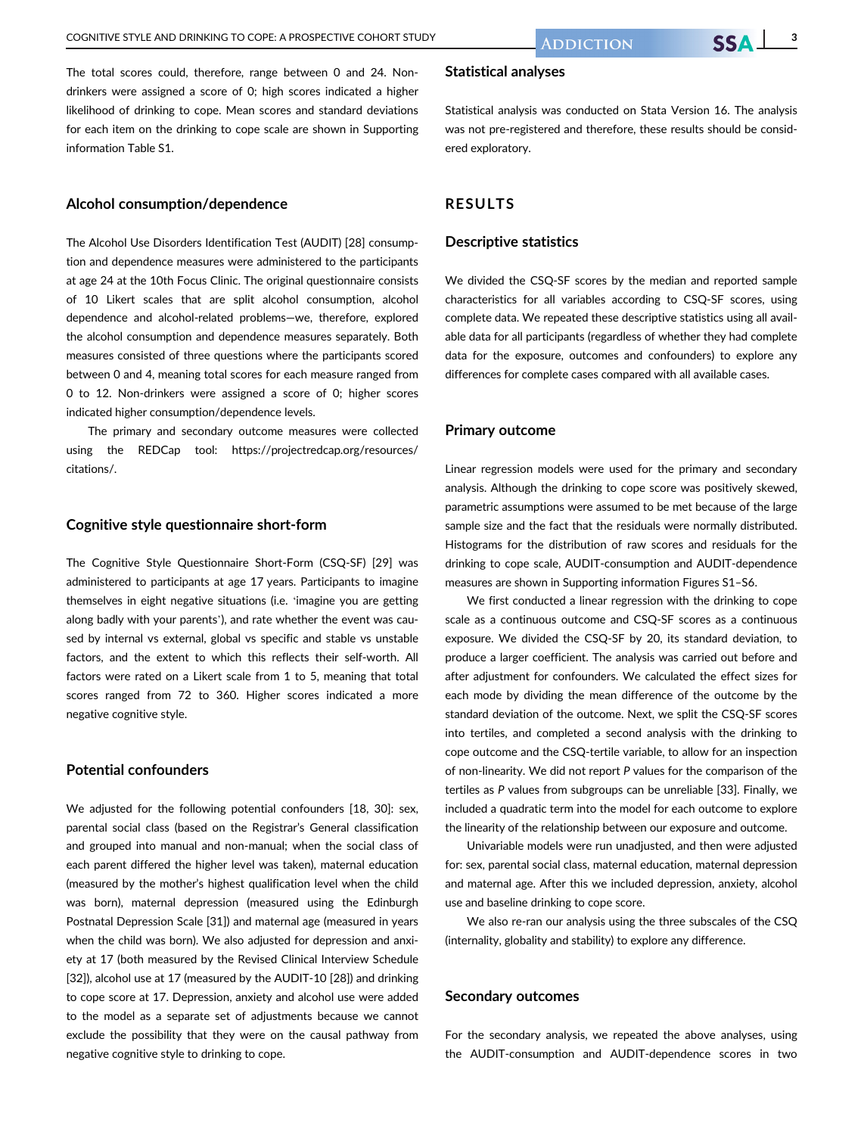The total scores could, therefore, range between 0 and 24. Nondrinkers were assigned a score of 0; high scores indicated a higher likelihood of drinking to cope. Mean scores and standard deviations for each item on the drinking to cope scale are shown in Supporting information Table S1.

#### Alcohol consumption/dependence

The Alcohol Use Disorders Identification Test (AUDIT) [28] consumption and dependence measures were administered to the participants at age 24 at the 10th Focus Clinic. The original questionnaire consists of 10 Likert scales that are split alcohol consumption, alcohol dependence and alcohol-related problems—we, therefore, explored the alcohol consumption and dependence measures separately. Both measures consisted of three questions where the participants scored between 0 and 4, meaning total scores for each measure ranged from 0 to 12. Non-drinkers were assigned a score of 0; higher scores indicated higher consumption/dependence levels.

The primary and secondary outcome measures were collected using the REDCap tool: [https://projectredcap.org/resources/](https://projectredcap.org/resources/citations/) [citations/.](https://projectredcap.org/resources/citations/)

#### Cognitive style questionnaire short-form

The Cognitive Style Questionnaire Short-Form (CSQ-SF) [29] was administered to participants at age 17 years. Participants to imagine themselves in eight negative situations (i.e. 'imagine you are getting along badly with your parents'), and rate whether the event was caused by internal vs external, global vs specific and stable vs unstable factors, and the extent to which this reflects their self-worth. All factors were rated on a Likert scale from 1 to 5, meaning that total scores ranged from 72 to 360. Higher scores indicated a more negative cognitive style.

#### Potential confounders

We adjusted for the following potential confounders [18, 30]: sex, parental social class (based on the Registrar's General classification and grouped into manual and non-manual; when the social class of each parent differed the higher level was taken), maternal education (measured by the mother's highest qualification level when the child was born), maternal depression (measured using the Edinburgh Postnatal Depression Scale [31]) and maternal age (measured in years when the child was born). We also adjusted for depression and anxiety at 17 (both measured by the Revised Clinical Interview Schedule [32]), alcohol use at 17 (measured by the AUDIT-10 [28]) and drinking to cope score at 17. Depression, anxiety and alcohol use were added to the model as a separate set of adjustments because we cannot exclude the possibility that they were on the causal pathway from negative cognitive style to drinking to cope.

#### Statistical analyses

Statistical analysis was conducted on Stata Version 16. The analysis was not pre-registered and therefore, these results should be considered exploratory.

#### RESULTS

#### Descriptive statistics

We divided the CSQ-SF scores by the median and reported sample characteristics for all variables according to CSQ-SF scores, using complete data. We repeated these descriptive statistics using all available data for all participants (regardless of whether they had complete data for the exposure, outcomes and confounders) to explore any differences for complete cases compared with all available cases.

#### Primary outcome

Linear regression models were used for the primary and secondary analysis. Although the drinking to cope score was positively skewed, parametric assumptions were assumed to be met because of the large sample size and the fact that the residuals were normally distributed. Histograms for the distribution of raw scores and residuals for the drinking to cope scale, AUDIT-consumption and AUDIT-dependence measures are shown in Supporting information Figures S1–S6.

We first conducted a linear regression with the drinking to cope scale as a continuous outcome and CSQ-SF scores as a continuous exposure. We divided the CSQ-SF by 20, its standard deviation, to produce a larger coefficient. The analysis was carried out before and after adjustment for confounders. We calculated the effect sizes for each mode by dividing the mean difference of the outcome by the standard deviation of the outcome. Next, we split the CSQ-SF scores into tertiles, and completed a second analysis with the drinking to cope outcome and the CSQ-tertile variable, to allow for an inspection of non-linearity. We did not report P values for the comparison of the tertiles as P values from subgroups can be unreliable [33]. Finally, we included a quadratic term into the model for each outcome to explore the linearity of the relationship between our exposure and outcome.

Univariable models were run unadjusted, and then were adjusted for: sex, parental social class, maternal education, maternal depression and maternal age. After this we included depression, anxiety, alcohol use and baseline drinking to cope score.

We also re-ran our analysis using the three subscales of the CSQ (internality, globality and stability) to explore any difference.

#### Secondary outcomes

For the secondary analysis, we repeated the above analyses, using the AUDIT-consumption and AUDIT-dependence scores in two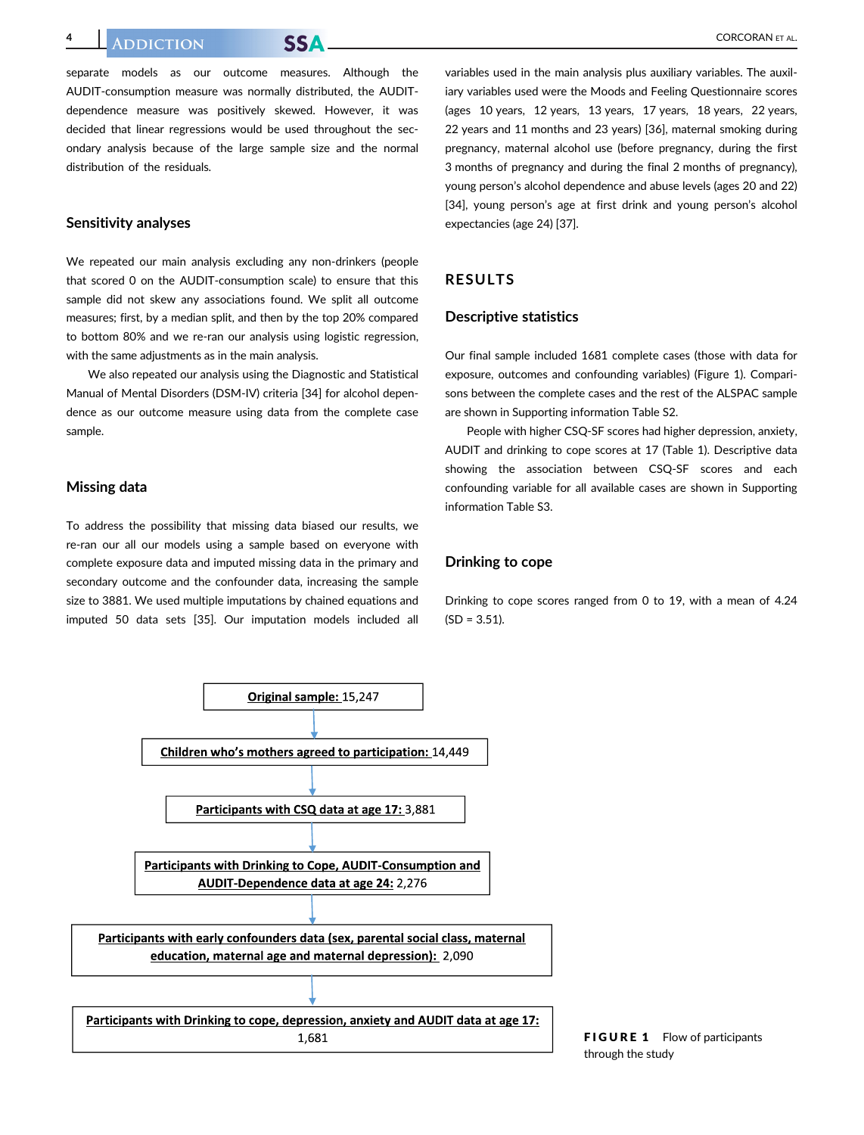separate models as our outcome measures. Although the AUDIT-consumption measure was normally distributed, the AUDITdependence measure was positively skewed. However, it was decided that linear regressions would be used throughout the secondary analysis because of the large sample size and the normal distribution of the residuals.

#### Sensitivity analyses

We repeated our main analysis excluding any non-drinkers (people that scored 0 on the AUDIT-consumption scale) to ensure that this sample did not skew any associations found. We split all outcome measures; first, by a median split, and then by the top 20% compared to bottom 80% and we re-ran our analysis using logistic regression, with the same adjustments as in the main analysis.

We also repeated our analysis using the Diagnostic and Statistical Manual of Mental Disorders (DSM-IV) criteria [34] for alcohol dependence as our outcome measure using data from the complete case sample.

#### Missing data

To address the possibility that missing data biased our results, we re-ran our all our models using a sample based on everyone with complete exposure data and imputed missing data in the primary and secondary outcome and the confounder data, increasing the sample size to 3881. We used multiple imputations by chained equations and imputed 50 data sets [35]. Our imputation models included all

variables used in the main analysis plus auxiliary variables. The auxiliary variables used were the Moods and Feeling Questionnaire scores (ages 10 years, 12 years, 13 years, 17 years, 18 years, 22 years, 22 years and 11 months and 23 years) [36], maternal smoking during pregnancy, maternal alcohol use (before pregnancy, during the first 3 months of pregnancy and during the final 2 months of pregnancy), young person's alcohol dependence and abuse levels (ages 20 and 22) [34], young person's age at first drink and young person's alcohol expectancies (age 24) [37].

#### RESULTS

#### Descriptive statistics

Our final sample included 1681 complete cases (those with data for exposure, outcomes and confounding variables) (Figure 1). Comparisons between the complete cases and the rest of the ALSPAC sample are shown in Supporting information Table S2.

People with higher CSQ-SF scores had higher depression, anxiety, AUDIT and drinking to cope scores at 17 (Table 1). Descriptive data showing the association between CSQ-SF scores and each confounding variable for all available cases are shown in Supporting information Table S3.

#### Drinking to cope

Drinking to cope scores ranged from 0 to 19, with a mean of 4.24  $(SD = 3.51)$ .



FIGURE 1 Flow of participants through the study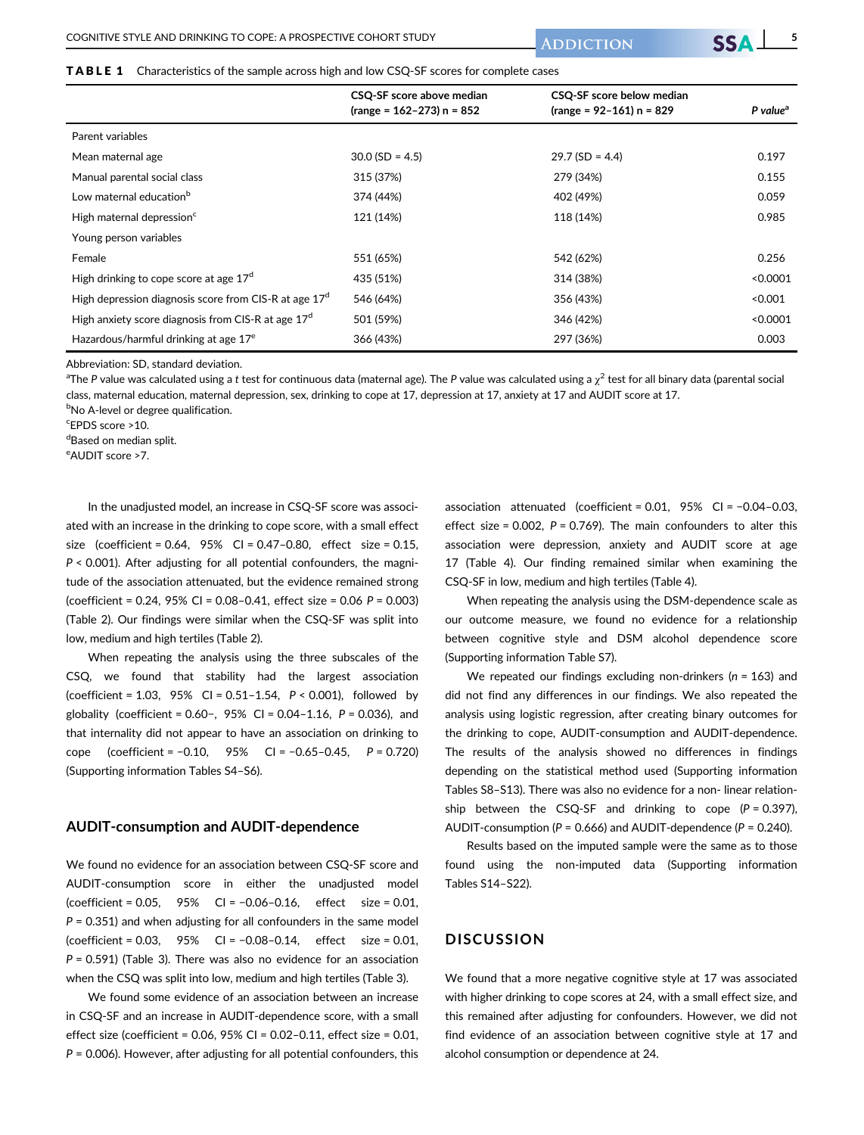TABLE 1 Characteristics of the sample across high and low CSQ-SF scores for complete cases

|                                                         | CSQ-SF score above median<br>$(range = 162-273) n = 852$ | CSQ-SF score below median<br>${\rm (range = 92-161)}$ n = 829 | P value <sup>a</sup> |
|---------------------------------------------------------|----------------------------------------------------------|---------------------------------------------------------------|----------------------|
| Parent variables                                        |                                                          |                                                               |                      |
| Mean maternal age                                       | $30.0$ (SD = 4.5)                                        | $29.7$ (SD = 4.4)                                             | 0.197                |
| Manual parental social class                            | 315 (37%)                                                | 279 (34%)                                                     | 0.155                |
| Low maternal education <sup>b</sup>                     | 374 (44%)                                                | 402 (49%)                                                     | 0.059                |
| High maternal depression <sup>c</sup>                   | 121 (14%)                                                | 118 (14%)                                                     | 0.985                |
| Young person variables                                  |                                                          |                                                               |                      |
| Female                                                  | 551 (65%)                                                | 542 (62%)                                                     | 0.256                |
| High drinking to cope score at age 17 <sup>d</sup>      | 435 (51%)                                                | 314 (38%)                                                     | < 0.0001             |
| High depression diagnosis score from CIS-R at age $17d$ | 546 (64%)                                                | 356 (43%)                                                     | < 0.001              |
| High anxiety score diagnosis from CIS-R at age $17d$    | 501 (59%)                                                | 346 (42%)                                                     | < 0.0001             |
| Hazardous/harmful drinking at age 17 <sup>e</sup>       | 366 (43%)                                                | 297 (36%)                                                     | 0.003                |

Abbreviation: SD, standard deviation.

 $^{\rm a}$ The P value was calculated using a  $t$  test for continuous data (maternal age). The P value was calculated using a  $\chi^2$  test for all binary data (parental social class, maternal education, maternal depression, sex, drinking to cope at 17, depression at 17, anxiety at 17 and AUDIT score at 17.

**bNo A-level or degree qualification.** 

c EPDS score >10.

dBased on median split.

e AUDIT score >7.

In the unadjusted model, an increase in CSQ-SF score was associated with an increase in the drinking to cope score, with a small effect size (coefficient = 0.64, 95% CI = 0.47–0.80, effect size = 0.15, P < 0.001). After adjusting for all potential confounders, the magnitude of the association attenuated, but the evidence remained strong (coefficient = 0.24, 95% CI = 0.08–0.41, effect size = 0.06 P = 0.003) (Table 2). Our findings were similar when the CSQ-SF was split into low, medium and high tertiles (Table 2).

When repeating the analysis using the three subscales of the CSQ, we found that stability had the largest association (coefficient =  $1.03$ ,  $95\%$  CI =  $0.51-1.54$ ,  $P < 0.001$ ), followed by globality (coefficient =  $0.60-$ ,  $95%$  CI =  $0.04-1.16$ ,  $P = 0.036$ ), and that internality did not appear to have an association on drinking to cope (coefficient = −0.10, 95% CI = −0.65–0.45, P = 0.720) (Supporting information Tables S4–S6).

#### AUDIT-consumption and AUDIT-dependence

We found no evidence for an association between CSQ-SF score and AUDIT-consumption score in either the unadjusted model (coefficient = 0.05, 95% CI = −0.06–0.16, effect size = 0.01,  $P = 0.351$ ) and when adjusting for all confounders in the same model (coefficient = 0.03, 95% CI = −0.08–0.14, effect size = 0.01,  $P = 0.591$ ) (Table 3). There was also no evidence for an association when the CSQ was split into low, medium and high tertiles (Table 3).

We found some evidence of an association between an increase in CSQ-SF and an increase in AUDIT-dependence score, with a small effect size (coefficient = 0.06, 95% CI = 0.02–0.11, effect size = 0.01,  $P = 0.006$ ). However, after adjusting for all potential confounders, this association attenuated (coefficient = 0.01, 95% CI = −0.04–0.03, effect size =  $0.002$ ,  $P = 0.769$ ). The main confounders to alter this association were depression, anxiety and AUDIT score at age 17 (Table 4). Our finding remained similar when examining the CSQ-SF in low, medium and high tertiles (Table 4).

When repeating the analysis using the DSM-dependence scale as our outcome measure, we found no evidence for a relationship between cognitive style and DSM alcohol dependence score (Supporting information Table S7).

We repeated our findings excluding non-drinkers ( $n = 163$ ) and did not find any differences in our findings. We also repeated the analysis using logistic regression, after creating binary outcomes for the drinking to cope, AUDIT-consumption and AUDIT-dependence. The results of the analysis showed no differences in findings depending on the statistical method used (Supporting information Tables S8–S13). There was also no evidence for a non- linear relationship between the CSQ-SF and drinking to cope  $(P = 0.397)$ , AUDIT-consumption ( $P = 0.666$ ) and AUDIT-dependence ( $P = 0.240$ ).

Results based on the imputed sample were the same as to those found using the non-imputed data (Supporting information Tables S14–S22).

#### **DISCUSSION**

We found that a more negative cognitive style at 17 was associated with higher drinking to cope scores at 24, with a small effect size, and this remained after adjusting for confounders. However, we did not find evidence of an association between cognitive style at 17 and alcohol consumption or dependence at 24.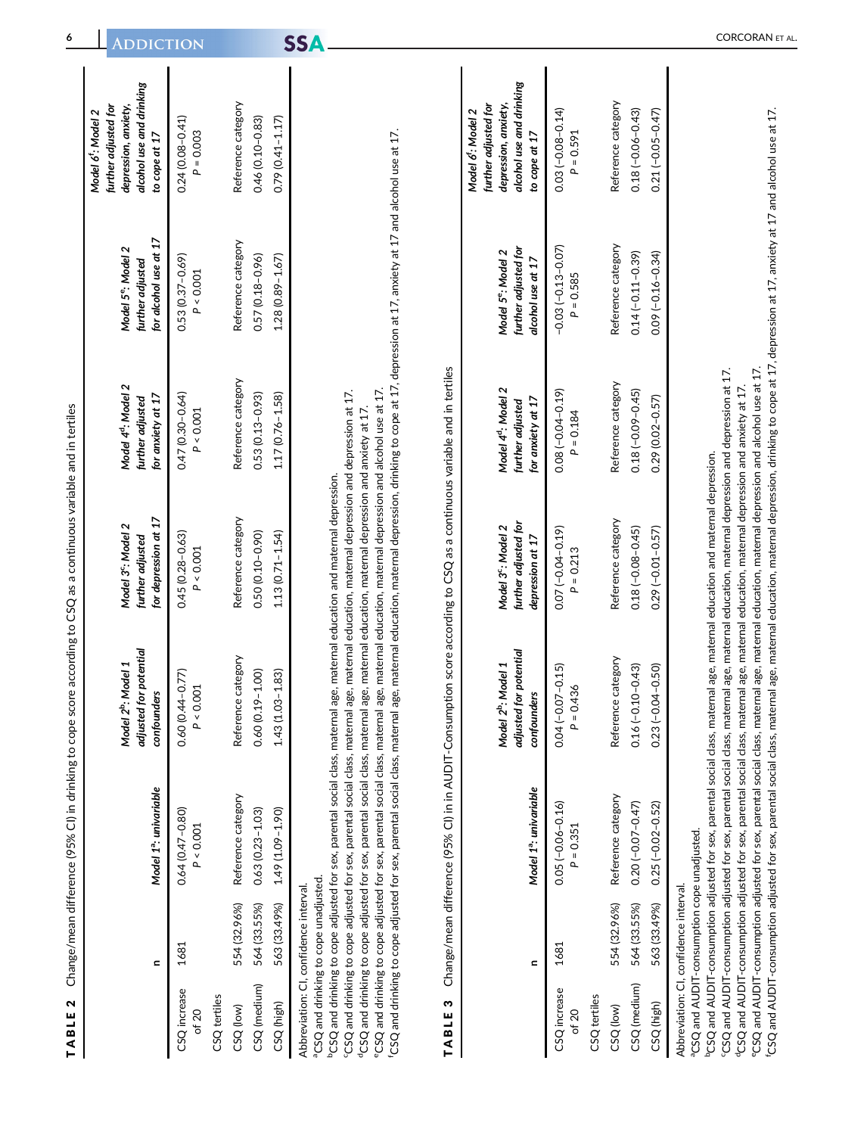|                                      | $\blacksquare$                                                                                    | Model 1 <sup>a</sup> : univariable  | adjusted for potential<br>Model 2 <sup>b</sup> : Model 1<br>confounders | for depression at 17<br>Model 3 <sup>c</sup> : Model 2<br>further adjusted                                                                                                                                                                                                                                                                                                                                                                   | Model 4 <sup>d</sup> : Model 2<br>for anxiety at 17<br>further adjusted                                                                          | for alcohol use at 17<br>Model 5 <sup>e</sup> : Model 2<br>further adjusted | alcohol use and drinking<br>further adjusted for<br>depression, anxiety,<br>Model 6 <sup>t</sup> : Model 2<br>to cope at 17   |
|--------------------------------------|---------------------------------------------------------------------------------------------------|-------------------------------------|-------------------------------------------------------------------------|----------------------------------------------------------------------------------------------------------------------------------------------------------------------------------------------------------------------------------------------------------------------------------------------------------------------------------------------------------------------------------------------------------------------------------------------|--------------------------------------------------------------------------------------------------------------------------------------------------|-----------------------------------------------------------------------------|-------------------------------------------------------------------------------------------------------------------------------|
| CSQ increase<br>of $20$              | 1681                                                                                              | 0.64 (0.47-0.80)<br>$P < 0.001$     | 0.60 (0.44-0.77)<br>P < 0.001                                           | 0.45 (0.28-0.63)<br>P < 0.001                                                                                                                                                                                                                                                                                                                                                                                                                | 0.47 (0.30-0.64)<br>P < 0.001                                                                                                                    | 0.53 (0.37-0.69)<br>P < 0.001                                               | $0.24(0.08 - 0.41)$<br>$P = 0.003$                                                                                            |
| CSQ tertiles                         |                                                                                                   |                                     |                                                                         |                                                                                                                                                                                                                                                                                                                                                                                                                                              |                                                                                                                                                  |                                                                             |                                                                                                                               |
| CSQ (low)                            | 554 (32.96%)                                                                                      | Reference category                  | Reference category                                                      | Reference category                                                                                                                                                                                                                                                                                                                                                                                                                           | Reference category                                                                                                                               | Reference category                                                          | Reference category                                                                                                            |
| CSQ (medium)                         | 564 (33.55%)                                                                                      | $0.63(0.23 - 1.03)$                 | $0.60(0.19 - 1.00)$                                                     | $0.50(0.10 - 0.90)$                                                                                                                                                                                                                                                                                                                                                                                                                          | $0.53(0.13 - 0.93)$                                                                                                                              | $0.57(0.18 - 0.96)$                                                         | 0.46 (0.10-0.83)                                                                                                              |
| CSQ (high)                           | 563 (33.49%)                                                                                      | 1.49 (1.09-1.90)                    | 1.43 (1.03-1.83)                                                        | $1.13(0.71 - 1.54)$                                                                                                                                                                                                                                                                                                                                                                                                                          | 1.17 (0.76-1.58)                                                                                                                                 | $1.28(0.89 - 1.67)$                                                         | $0.79(0.41 - 1.17)$                                                                                                           |
| TABLE <sub>3</sub>                   | Ξ                                                                                                 | Model 1 <sup>a</sup> : univariable  | adjusted for potential<br>Model 2 <sup>b</sup> : Model 1<br>confounders | Change/mean difference (95% CI) in in AUDIT-Consumption score according to CSQ as a continuous variable and in tertiles<br>further adjusted for<br>Model 3 <sup>c</sup> : Model 2<br>depression at 17                                                                                                                                                                                                                                        | Model 4 <sup>d</sup> : Model 2<br>for anxiety at 17<br>further adjusted                                                                          | further adjusted for<br>Model 5 <sup>e</sup> : Model 2<br>alcohol use at 17 | alcohol use and drinking<br>further adjusted for<br>depression, anxiety,<br>Model 6 <sup>t</sup> : Model 2<br>to cope at $17$ |
| CSQ increase<br>of $20$              | 1681                                                                                              | $0.05(-0.06 - 0.16)$<br>$P = 0.351$ | $0.04 (-0.07 - 0.15)$<br>$P = 0.436$                                    | $0.07(-0.04 - 0.19)$<br>$P = 0.213$                                                                                                                                                                                                                                                                                                                                                                                                          | $0.08(-0.04 - 0.19)$<br>$P = 0.184$                                                                                                              | $-0.03(-0.13 - 0.07)$<br>$P = 0.585$                                        | $0.03(-0.08 - 0.14)$<br>$P = 0.591$                                                                                           |
| CSQ tertiles<br>CSQ <sub>(low)</sub> | 554 (32.96%)                                                                                      | Reference category                  | Reference category                                                      | Reference category                                                                                                                                                                                                                                                                                                                                                                                                                           | Reference category                                                                                                                               | Reference category                                                          | Reference category                                                                                                            |
| CSQ (medium)                         | 564 (33.55%)                                                                                      | $0.20(-0.07 - 0.47)$                | $0.16(-0.10 - 0.43)$                                                    | $0.18(-0.08 - 0.45)$                                                                                                                                                                                                                                                                                                                                                                                                                         | $0.18(-0.09 - 0.45)$                                                                                                                             | $0.14 (-0.11 - 0.39)$                                                       | $0.18(-0.06 - 0.43)$                                                                                                          |
| CSQ (high)                           | 563 (33.49%)                                                                                      | $0.25(-0.02 - 0.52)$                | $0.23(-0.04 - 0.50)$                                                    | $0.29(-0.01 - 0.57)$                                                                                                                                                                                                                                                                                                                                                                                                                         | 0.29 (0.02-0.57)                                                                                                                                 | $0.09 (-0.16 - 0.34)$                                                       | $0.21(-0.05 - 0.47)$                                                                                                          |
|                                      | <sup>a</sup> CSQ and AUDIT-consumption cope unadjusted.<br>Abbreviation: CI, confidence interval. |                                     |                                                                         | °CSQ and AUDIT-consumption adjusted for sex, parental social class, maternal age, maternal education, maternal depression and depression at 17.<br><sup>4</sup> CSQ and AUDIT-consumption adjusted for sex, parental social class, maternal age, maternal education, maternal depression and anxiety at 17.<br>°CSQ and AUDIT-consumption adjusted for sex, parental social class, maternal age, maternal education and maternal depression. | °CSQ and AUDIT-consumption adjusted for sex, parental social class, maternal age, maternal education, maternal depression and alcohol use at 17. |                                                                             |                                                                                                                               |

CORCORAN ET AL.

6 ADDICTION SSA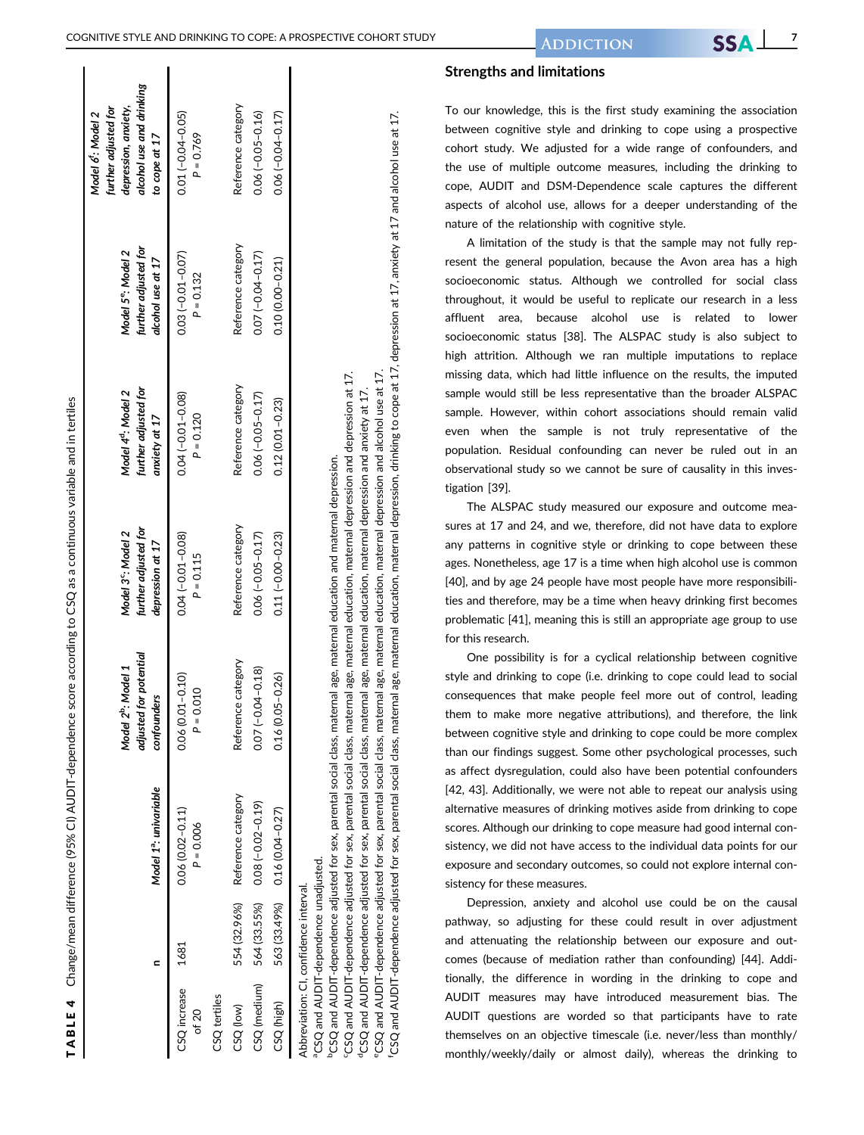|                       |                                                                                             | Model 1 <sup>a</sup> : univariable | ed for potential<br>Model 2 <sup>b</sup> : Model 1<br>confounders<br>adjust                                                                                                                                                                                                                       | further adjusted for<br>Model 3 <sup>c</sup> : Model 2<br>depression at 17 | further adjusted for<br>Model 4 <sup>d</sup> : Model 2<br>anxiety at 17 | further adjusted for<br>Model 5 <sup>e</sup> : Model 2<br>alcohol use at 17 | alcohol use and drinking<br>further adjusted for<br>depression, anxiety,<br>Model 6: Model 2<br>to cope at 17 |
|-----------------------|---------------------------------------------------------------------------------------------|------------------------------------|---------------------------------------------------------------------------------------------------------------------------------------------------------------------------------------------------------------------------------------------------------------------------------------------------|----------------------------------------------------------------------------|-------------------------------------------------------------------------|-----------------------------------------------------------------------------|---------------------------------------------------------------------------------------------------------------|
| CSQ increase<br>of 20 | 1681                                                                                        | 0.06 (0.02-0.11)<br>$P = 0.006$    | $(0.01 - 0.10)$<br>$= 0.010$<br>Q<br>0.06(                                                                                                                                                                                                                                                        | $0.04(-0.01 - 0.08)$<br>$P = 0.115$                                        | $0.04(-0.01 - 0.08)$<br>$P = 0.120$                                     | $0.03(-0.01 - 0.07)$<br>$P = 0.132$                                         | $0.01(-0.04 - 0.05)$<br>$P = 0.769$                                                                           |
| CSQ tertiles          |                                                                                             |                                    |                                                                                                                                                                                                                                                                                                   |                                                                            |                                                                         |                                                                             |                                                                                                               |
| CSQ (low)             | 554 (32.96%)                                                                                | Reference category                 | Reference category                                                                                                                                                                                                                                                                                | Reference category                                                         | Reference category                                                      | Reference category                                                          | Reference category                                                                                            |
| CSQ (medium)          |                                                                                             | 564 (33.55%) 0.08 (-0.02-0.19)     | $-0.04 - 0.18$<br>0.07(                                                                                                                                                                                                                                                                           | $0.06(-0.05 - 0.17)$                                                       | $0.06(-0.05 - 0.17)$                                                    | $0.07(-0.04 - 0.17)$                                                        | $0.06(-0.05 - 0.16)$                                                                                          |
| CSQ (high)            |                                                                                             | 563 (33.49%) 0.16 (0.04-0.27)      | $(0.05 - 0.26)$<br>0.16(                                                                                                                                                                                                                                                                          | $0.11 (-0.00 - 0.23)$                                                      | $0.12(0.01 - 0.23)$                                                     | $0.10(0.00 - 0.21)$                                                         | $0.06(-0.04 - 0.17)$                                                                                          |
|                       | <sup>a</sup> CSQ and AUDIT-dependence unadjusted.<br>Abbreviation: CI, confidence interval. |                                    | <sup>c</sup> CSO and ALINT-dependence adjusted for sex parental social class maternal age maternal education maternal depression and depression at 17<br><sup>6</sup> CSQ and AUDIT-dependence adjusted for sex, parental social class, maternal age, maternal education and maternal depression. |                                                                            |                                                                         |                                                                             |                                                                                                               |

TABLE 4

TABLE 4

Change/mean difference (95% CI) AUDIT-dependence score according to CSQ as a continuous variable and in tertiles

Change/mean difference (95% CI) AUDIT-dependence score according to CSQ as a continuous variable and in tertiles

# maternal depression, drinking to cope at 17, depression at 17, anxiety at 17 and alcohol use at 17. fCSQ and AUDIT-dependence adjusted for sex, parental social class, maternal age, maternal education, maternal depression, drinking to cope at 17, depression at 17, anxiety at 17 and alcohol use at 17. °CSQ and AUDIT-dependence adjusted for sex, parental social class, maternal age, maternal education, maternal depression and alcohol use at 17. eCSQ and AUDIT-dependence adjusted for sex, parental social class, maternal age, maternal education, maternal depression and alcohol use at 17. cCSQ and AUDIT-dependence adjusted for sex, parental social class, maternal age, maternal education, maternal depression and depression at 17. CSQ and AUDIT-dependence adjusted for sex, parental social class, maternal age, maternal education, maternal depression and anxiety at 17. dCSQ and AUDIT-dependence adjusted for sex, parental social class, maternal age, maternal education, maternal depression and anxiety at 17. education, maternal age. maternal social class. parental CSQ and AUDIT-dependence adjusted for sex,

#### Strengths and limitations

To our knowledge, this is the first study examining the association between cognitive style and drinking to cope using a prospective cohort study. We adjusted for a wide range of confounders, and the use of multiple outcome measures, including the drinking to cope, AUDIT and DSM-Dependence scale captures the different aspects of alcohol use, allows for a deeper understanding of the nature of the relationship with cognitive style.

A limitation of the study is that the sample may not fully represent the general population, because the Avon area has a high socioeconomic status. Although we controlled for social class throughout, it would be useful to replicate our research in a less affluent area, because alcohol use is related to lower socioeconomic status [38]. The ALSPAC study is also subject to high attrition. Although we ran multiple imputations to replace missing data, which had little influence on the results, the imputed sample would still be less representative than the broader ALSPAC sample. However, within cohort associations should remain valid even when the sample is not truly representative of the population. Residual confounding can never be ruled out in an observational study so we cannot be sure of causality in this investigation [39].

The ALSPAC study measured our exposure and outcome measures at 17 and 24, and we, therefore, did not have data to explore any patterns in cognitive style or drinking to cope between these ages. Nonetheless, age 17 is a time when high alcohol use is common [40], and by age 24 people have most people have more responsibilities and therefore, may be a time when heavy drinking first becomes problematic [41], meaning this is still an appropriate age group to use for this research.

One possibility is for a cyclical relationship between cognitive style and drinking to cope (i.e. drinking to cope could lead to social consequences that make people feel more out of control, leading them to make more negative attributions), and therefore, the link between cognitive style and drinking to cope could be more complex than our findings suggest. Some other psychological processes, such as affect dysregulation, could also have been potential confounders [42, 43]. Additionally, we were not able to repeat our analysis using alternative measures of drinking motives aside from drinking to cope scores. Although our drinking to cope measure had good internal consistency, we did not have access to the individual data points for our exposure and secondary outcomes, so could not explore internal consistency for these measures.

Depression, anxiety and alcohol use could be on the causal pathway, so adjusting for these could result in over adjustment and attenuating the relationship between our exposure and outcomes (because of mediation rather than confounding) [44]. Additionally, the difference in wording in the drinking to cope and AUDIT measures may have introduced measurement bias. The AUDIT questions are worded so that participants have to rate themselves on an objective timescale (i.e. never/less than monthly/ monthly/weekly/daily or almost daily), whereas the drinking to

 $\mathbf{I}$ 

ĭ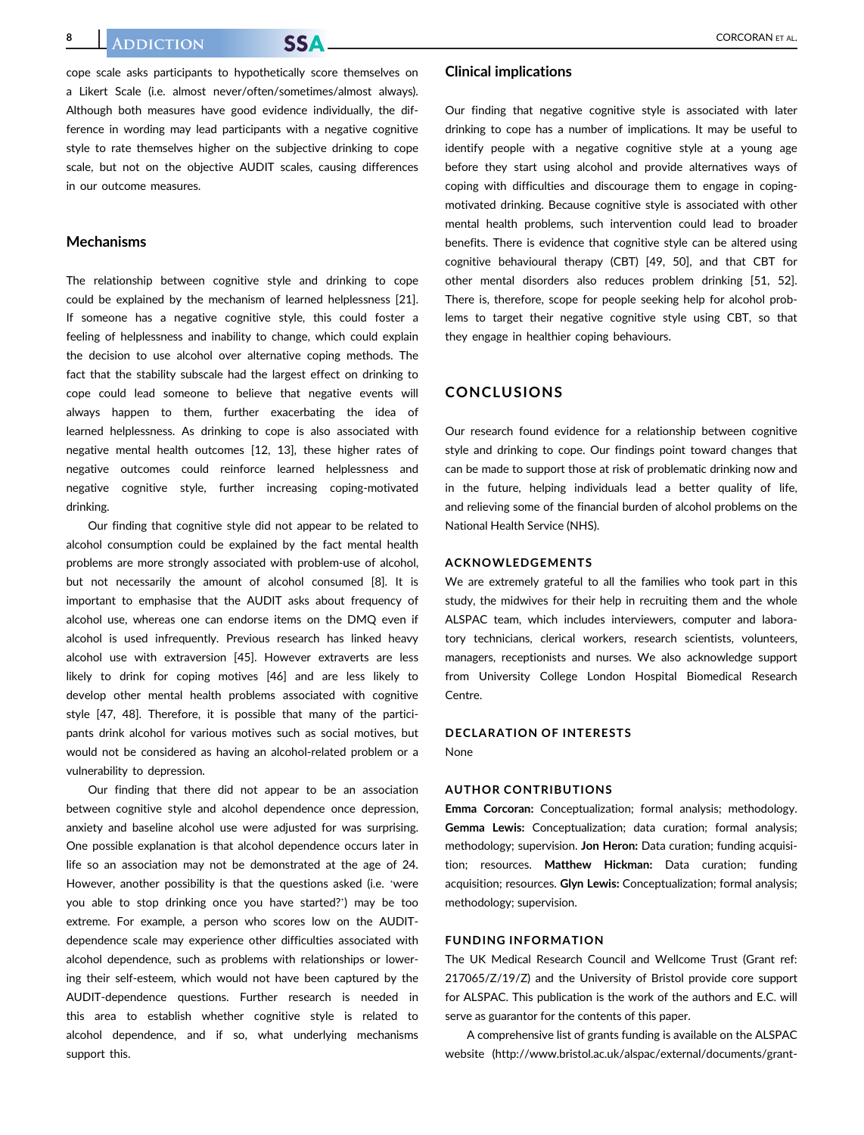cope scale asks participants to hypothetically score themselves on a Likert Scale (i.e. almost never/often/sometimes/almost always). Although both measures have good evidence individually, the difference in wording may lead participants with a negative cognitive style to rate themselves higher on the subjective drinking to cope scale, but not on the objective AUDIT scales, causing differences in our outcome measures.

#### **Mechanisms**

The relationship between cognitive style and drinking to cope could be explained by the mechanism of learned helplessness [21]. If someone has a negative cognitive style, this could foster a feeling of helplessness and inability to change, which could explain the decision to use alcohol over alternative coping methods. The fact that the stability subscale had the largest effect on drinking to cope could lead someone to believe that negative events will always happen to them, further exacerbating the idea of learned helplessness. As drinking to cope is also associated with negative mental health outcomes [12, 13], these higher rates of negative outcomes could reinforce learned helplessness and negative cognitive style, further increasing coping-motivated drinking.

Our finding that cognitive style did not appear to be related to alcohol consumption could be explained by the fact mental health problems are more strongly associated with problem-use of alcohol, but not necessarily the amount of alcohol consumed [8]. It is important to emphasise that the AUDIT asks about frequency of alcohol use, whereas one can endorse items on the DMQ even if alcohol is used infrequently. Previous research has linked heavy alcohol use with extraversion [45]. However extraverts are less likely to drink for coping motives [46] and are less likely to develop other mental health problems associated with cognitive style [47, 48]. Therefore, it is possible that many of the participants drink alcohol for various motives such as social motives, but would not be considered as having an alcohol-related problem or a vulnerability to depression.

Our finding that there did not appear to be an association between cognitive style and alcohol dependence once depression, anxiety and baseline alcohol use were adjusted for was surprising. One possible explanation is that alcohol dependence occurs later in life so an association may not be demonstrated at the age of 24. However, another possibility is that the questions asked (i.e. 'were you able to stop drinking once you have started?') may be too extreme. For example, a person who scores low on the AUDITdependence scale may experience other difficulties associated with alcohol dependence, such as problems with relationships or lowering their self-esteem, which would not have been captured by the AUDIT-dependence questions. Further research is needed in this area to establish whether cognitive style is related to alcohol dependence, and if so, what underlying mechanisms support this.

#### Clinical implications

Our finding that negative cognitive style is associated with later drinking to cope has a number of implications. It may be useful to identify people with a negative cognitive style at a young age before they start using alcohol and provide alternatives ways of coping with difficulties and discourage them to engage in copingmotivated drinking. Because cognitive style is associated with other mental health problems, such intervention could lead to broader benefits. There is evidence that cognitive style can be altered using cognitive behavioural therapy (CBT) [49, 50], and that CBT for other mental disorders also reduces problem drinking [51, 52]. There is, therefore, scope for people seeking help for alcohol problems to target their negative cognitive style using CBT, so that they engage in healthier coping behaviours.

#### CONCLUSIONS

Our research found evidence for a relationship between cognitive style and drinking to cope. Our findings point toward changes that can be made to support those at risk of problematic drinking now and in the future, helping individuals lead a better quality of life, and relieving some of the financial burden of alcohol problems on the National Health Service (NHS).

#### ACKNOWLEDGEMENTS

We are extremely grateful to all the families who took part in this study, the midwives for their help in recruiting them and the whole ALSPAC team, which includes interviewers, computer and laboratory technicians, clerical workers, research scientists, volunteers, managers, receptionists and nurses. We also acknowledge support from University College London Hospital Biomedical Research Centre.

## DECLARATION OF INTERESTS

None

#### AUTHOR CONTRIBUTIONS

Emma Corcoran: Conceptualization; formal analysis; methodology. Gemma Lewis: Conceptualization; data curation; formal analysis; methodology; supervision. Jon Heron: Data curation; funding acquisition; resources. Matthew Hickman: Data curation; funding acquisition; resources. Glyn Lewis: Conceptualization; formal analysis; methodology; supervision.

#### FUNDING INFORMATION

The UK Medical Research Council and Wellcome Trust (Grant ref: 217065/Z/19/Z) and the University of Bristol provide core support for ALSPAC. This publication is the work of the authors and E.C. will serve as guarantor for the contents of this paper.

A comprehensive list of grants funding is available on the ALSPAC website [\(http://www.bristol.ac.uk/alspac/external/documents/grant-](http://www.bristol.ac.uk/alspac/external/documents/grant-acknowledgements.pdf)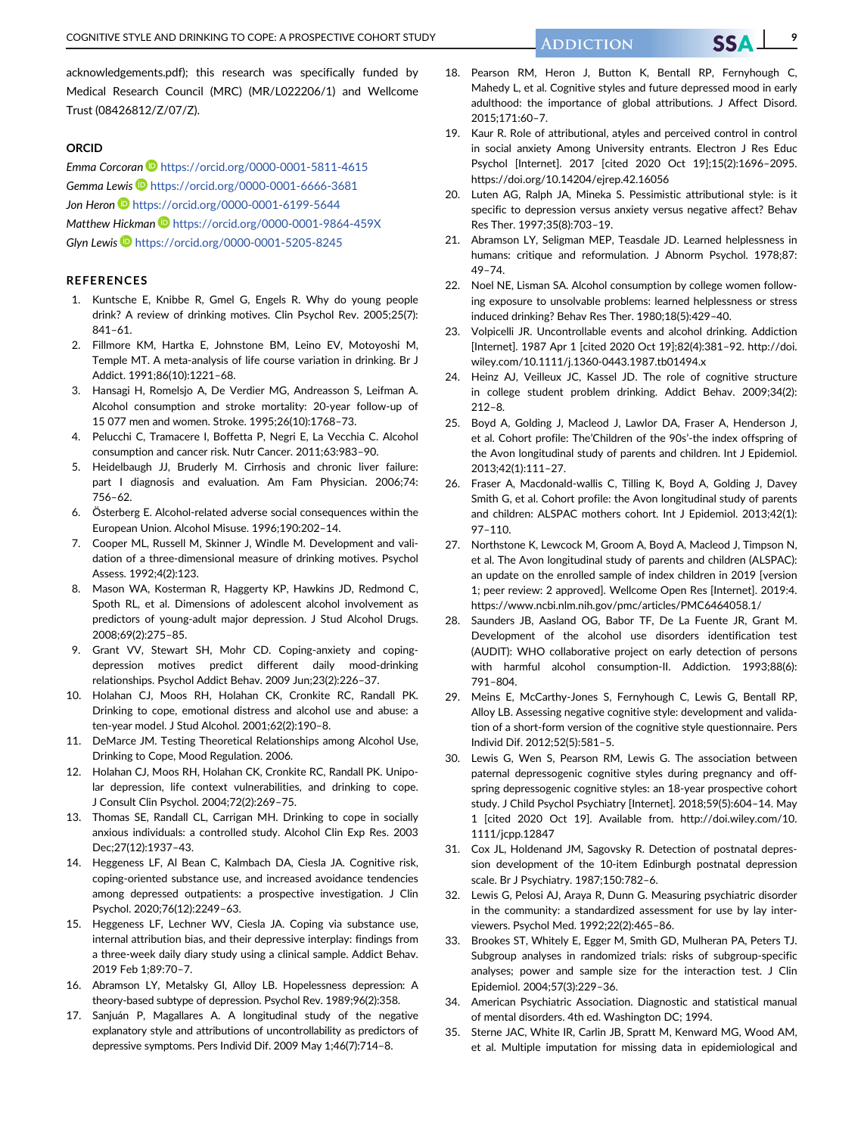#### ORCID

Emma Corcoran <https://orcid.org/0000-0001-5811-4615> Gemma Lewis D <https://orcid.org/0000-0001-6666-3681> Jon Heron **<https://orcid.org/0000-0001-6199-5644>** Matthew Hickman <https://orcid.org/0000-0001-9864-459X> Glyn Lewis <https://orcid.org/0000-0001-5205-8245>

#### REFERENCES

- 1. Kuntsche E, Knibbe R, Gmel G, Engels R. Why do young people drink? A review of drinking motives. Clin Psychol Rev. 2005;25(7): 841–61.
- 2. Fillmore KM, Hartka E, Johnstone BM, Leino EV, Motoyoshi M, Temple MT. A meta-analysis of life course variation in drinking. Br J Addict. 1991;86(10):1221–68.
- 3. Hansagi H, Romelsjo A, De Verdier MG, Andreasson S, Leifman A. Alcohol consumption and stroke mortality: 20-year follow-up of 15 077 men and women. Stroke. 1995;26(10):1768–73.
- 4. Pelucchi C, Tramacere I, Boffetta P, Negri E, La Vecchia C. Alcohol consumption and cancer risk. Nutr Cancer. 2011;63:983–90.
- 5. Heidelbaugh JJ, Bruderly M. Cirrhosis and chronic liver failure: part I diagnosis and evaluation. Am Fam Physician. 2006;74: 756–62.
- 6. Österberg E. Alcohol-related adverse social consequences within the European Union. Alcohol Misuse. 1996;190:202–14.
- 7. Cooper ML, Russell M, Skinner J, Windle M. Development and validation of a three-dimensional measure of drinking motives. Psychol Assess. 1992;4(2):123.
- 8. Mason WA, Kosterman R, Haggerty KP, Hawkins JD, Redmond C, Spoth RL, et al. Dimensions of adolescent alcohol involvement as predictors of young-adult major depression. J Stud Alcohol Drugs. 2008;69(2):275–85.
- 9. Grant VV, Stewart SH, Mohr CD. Coping-anxiety and copingdepression motives predict different daily mood-drinking relationships. Psychol Addict Behav. 2009 Jun;23(2):226–37.
- 10. Holahan CJ, Moos RH, Holahan CK, Cronkite RC, Randall PK. Drinking to cope, emotional distress and alcohol use and abuse: a ten-year model. J Stud Alcohol. 2001;62(2):190–8.
- 11. DeMarce JM. Testing Theoretical Relationships among Alcohol Use, Drinking to Cope, Mood Regulation. 2006.
- 12. Holahan CJ, Moos RH, Holahan CK, Cronkite RC, Randall PK. Unipolar depression, life context vulnerabilities, and drinking to cope. J Consult Clin Psychol. 2004;72(2):269–75.
- 13. Thomas SE, Randall CL, Carrigan MH. Drinking to cope in socially anxious individuals: a controlled study. Alcohol Clin Exp Res. 2003 Dec;27(12):1937–43.
- 14. Heggeness LF, Al Bean C, Kalmbach DA, Ciesla JA. Cognitive risk, coping-oriented substance use, and increased avoidance tendencies among depressed outpatients: a prospective investigation. J Clin Psychol. 2020;76(12):2249–63.
- 15. Heggeness LF, Lechner WV, Ciesla JA. Coping via substance use, internal attribution bias, and their depressive interplay: findings from a three-week daily diary study using a clinical sample. Addict Behav. 2019 Feb 1;89:70–7.
- 16. Abramson LY, Metalsky GI, Alloy LB. Hopelessness depression: A theory-based subtype of depression. Psychol Rev. 1989;96(2):358.
- 17. Sanjuán P, Magallares A. A longitudinal study of the negative explanatory style and attributions of uncontrollability as predictors of depressive symptoms. Pers Individ Dif. 2009 May 1;46(7):714–8.
- 18. Pearson RM, Heron J, Button K, Bentall RP, Fernyhough C, Mahedy L, et al. Cognitive styles and future depressed mood in early adulthood: the importance of global attributions. J Affect Disord. 2015;171:60–7.
- 19. Kaur R. Role of attributional, atyles and perceived control in control in social anxiety Among University entrants. Electron J Res Educ Psychol [Internet]. 2017 [cited 2020 Oct 19];15(2):1696–2095. <https://doi.org/10.14204/ejrep.42.16056>
- 20. Luten AG, Ralph JA, Mineka S. Pessimistic attributional style: is it specific to depression versus anxiety versus negative affect? Behav Res Ther. 1997;35(8):703–19.
- 21. Abramson LY, Seligman MEP, Teasdale JD. Learned helplessness in humans: critique and reformulation. J Abnorm Psychol. 1978;87: 49–74.
- 22. Noel NE, Lisman SA. Alcohol consumption by college women following exposure to unsolvable problems: learned helplessness or stress induced drinking? Behav Res Ther. 1980;18(5):429–40.
- 23. Volpicelli JR. Uncontrollable events and alcohol drinking. Addiction [Internet]. 1987 Apr 1 [cited 2020 Oct 19];82(4):381–92. [http://doi.](http://doi.wiley.com/10.1111/j.1360-0443.1987.tb01494.x) [wiley.com/10.1111/j.1360-0443.1987.tb01494.x](http://doi.wiley.com/10.1111/j.1360-0443.1987.tb01494.x)
- 24. Heinz AJ, Veilleux JC, Kassel JD. The role of cognitive structure in college student problem drinking. Addict Behav. 2009;34(2): 212–8.
- 25. Boyd A, Golding J, Macleod J, Lawlor DA, Fraser A, Henderson J, et al. Cohort profile: The'Children of the 90s'-the index offspring of the Avon longitudinal study of parents and children. Int J Epidemiol. 2013;42(1):111–27.
- 26. Fraser A, Macdonald-wallis C, Tilling K, Boyd A, Golding J, Davey Smith G, et al. Cohort profile: the Avon longitudinal study of parents and children: ALSPAC mothers cohort. Int J Epidemiol. 2013;42(1): 97–110.
- 27. Northstone K, Lewcock M, Groom A, Boyd A, Macleod J, Timpson N, et al. The Avon longitudinal study of parents and children (ALSPAC): an update on the enrolled sample of index children in 2019 [version 1; peer review: 2 approved]. Wellcome Open Res [Internet]. 2019:4. <https://www.ncbi.nlm.nih.gov/pmc/articles/PMC6464058.1/>
- 28. Saunders JB, Aasland OG, Babor TF, De La Fuente JR, Grant M. Development of the alcohol use disorders identification test (AUDIT): WHO collaborative project on early detection of persons with harmful alcohol consumption-II. Addiction. 1993;88(6): 791–804.
- 29. Meins E, McCarthy-Jones S, Fernyhough C, Lewis G, Bentall RP, Alloy LB. Assessing negative cognitive style: development and validation of a short-form version of the cognitive style questionnaire. Pers Individ Dif. 2012;52(5):581–5.
- 30. Lewis G, Wen S, Pearson RM, Lewis G. The association between paternal depressogenic cognitive styles during pregnancy and offspring depressogenic cognitive styles: an 18-year prospective cohort study. J Child Psychol Psychiatry [Internet]. 2018;59(5):604–14. May 1 [cited 2020 Oct 19]. Available from. [http://doi.wiley.com/10.](http://doi.wiley.com/10.1111/jcpp.12847) [1111/jcpp.12847](http://doi.wiley.com/10.1111/jcpp.12847)
- 31. Cox JL, Holdenand JM, Sagovsky R. Detection of postnatal depression development of the 10-item Edinburgh postnatal depression scale. Br J Psychiatry. 1987;150:782–6.
- 32. Lewis G, Pelosi AJ, Araya R, Dunn G. Measuring psychiatric disorder in the community: a standardized assessment for use by lay interviewers. Psychol Med. 1992;22(2):465–86.
- 33. Brookes ST, Whitely E, Egger M, Smith GD, Mulheran PA, Peters TJ. Subgroup analyses in randomized trials: risks of subgroup-specific analyses; power and sample size for the interaction test. J Clin Epidemiol. 2004;57(3):229–36.
- 34. American Psychiatric Association. Diagnostic and statistical manual of mental disorders. 4th ed. Washington DC; 1994.
- 35. Sterne JAC, White IR, Carlin JB, Spratt M, Kenward MG, Wood AM, et al. Multiple imputation for missing data in epidemiological and